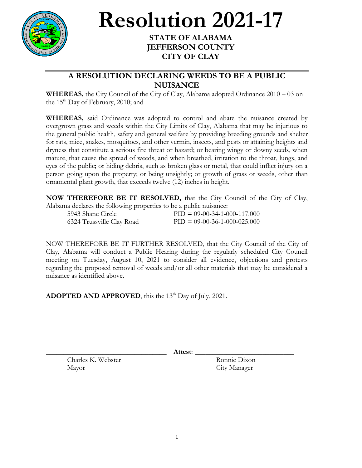

## **Resolution 2021-17**

## **STATE OF ALABAMA JEFFERSON COUNTY CITY OF CLAY**

## **A RESOLUTION DECLARING WEEDS TO BE A PUBLIC NUISANCE**

**WHEREAS,** the City Council of the City of Clay, Alabama adopted Ordinance 2010 – 03 on the  $15<sup>th</sup>$  Day of February, 2010; and

**WHEREAS,** said Ordinance was adopted to control and abate the nuisance created by overgrown grass and weeds within the City Limits of Clay, Alabama that may be injurious to the general public health, safety and general welfare by providing breeding grounds and shelter for rats, mice, snakes, mosquitoes, and other vermin, insects, and pests or attaining heights and dryness that constitute a serious fire threat or hazard; or bearing wingy or downy seeds, when mature, that cause the spread of weeds, and when breathed, irritation to the throat, lungs, and eyes of the public; or hiding debris, such as broken glass or metal, that could inflict injury on a person going upon the property; or being unsightly; or growth of grass or weeds, other than ornamental plant growth, that exceeds twelve (12) inches in height.

**NOW THEREFORE BE IT RESOLVED,** that the City Council of the City of Clay, Alabama declares the following properties to be a public nuisance:

| 5943 Shane Circle         | $PID = 09-00-34-1-000-117.000$ |
|---------------------------|--------------------------------|
| 6324 Trussville Clay Road | $PID = 09-00-36-1-000-025.000$ |

NOW THEREFORE BE IT FURTHER RESOLVED, that the City Council of the City of Clay, Alabama will conduct a Public Hearing during the regularly scheduled City Council meeting on Tuesday, August 10, 2021 to consider all evidence, objections and protests regarding the proposed removal of weeds and/or all other materials that may be considered a nuisance as identified above.

ADOPTED AND APPROVED, this the 13<sup>th</sup> Day of July, 2021.

\_\_\_\_\_\_\_\_\_\_\_\_\_\_\_\_\_\_\_\_\_\_\_\_\_\_\_\_\_\_\_\_\_\_ **Attest**: \_\_\_\_\_\_\_\_\_\_\_\_\_\_\_\_\_\_\_\_\_\_\_\_\_\_\_\_

Charles K. Webster Ronnie Dixon Mayor City Manager